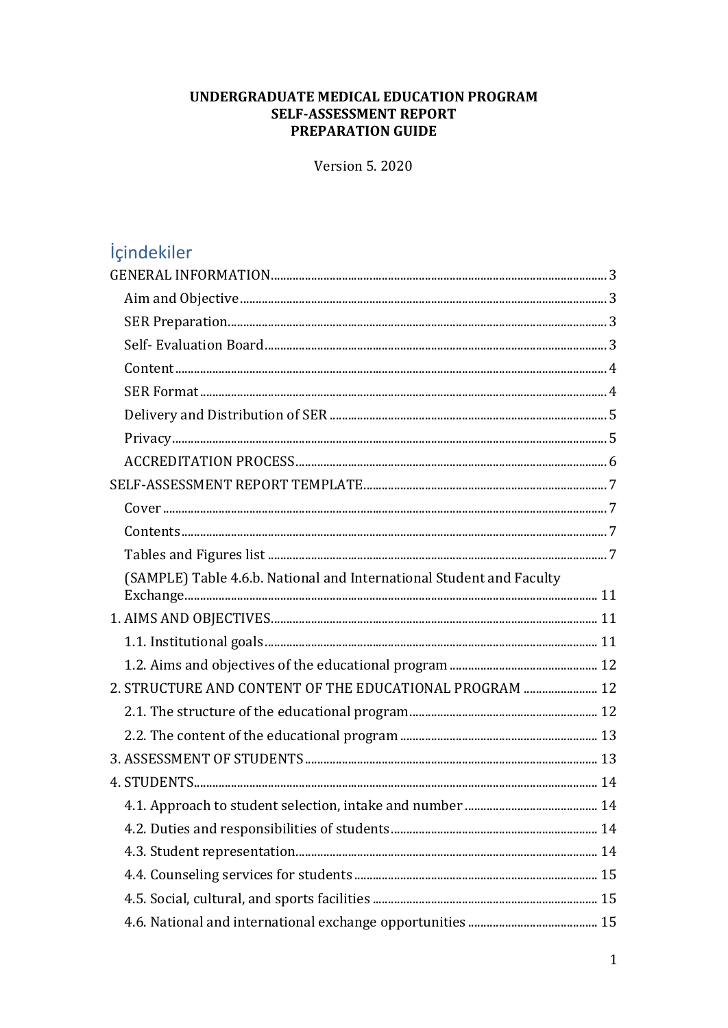#### UNDERGRADUATE MEDICAL EDUCATION PROGRAM **SELF-ASSESSMENT REPORT** PREPARATION GUIDE

**Version 5.2020** 

# içindekiler

| (SAMPLE) Table 4.6.b. National and International Student and Faculty |
|----------------------------------------------------------------------|
|                                                                      |
|                                                                      |
|                                                                      |
| 2. STRUCTURE AND CONTENT OF THE EDUCATIONAL PROGRAM  12              |
|                                                                      |
|                                                                      |
|                                                                      |
|                                                                      |
|                                                                      |
|                                                                      |
|                                                                      |
|                                                                      |
|                                                                      |
|                                                                      |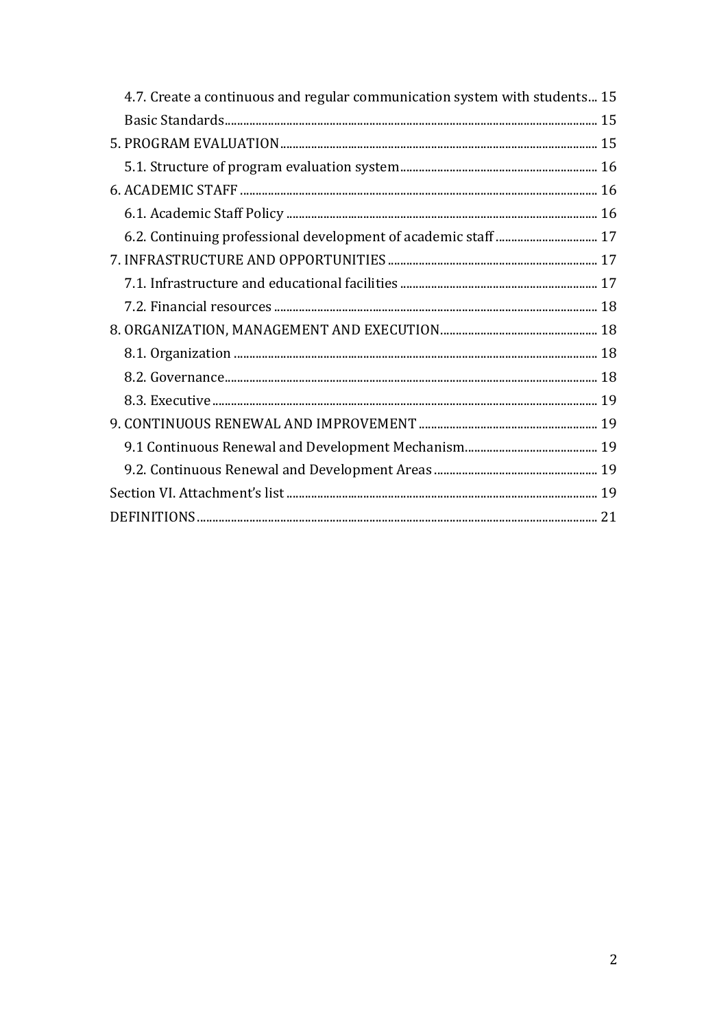| 4.7. Create a continuous and regular communication system with students 15 |  |
|----------------------------------------------------------------------------|--|
|                                                                            |  |
|                                                                            |  |
|                                                                            |  |
|                                                                            |  |
|                                                                            |  |
|                                                                            |  |
|                                                                            |  |
|                                                                            |  |
|                                                                            |  |
|                                                                            |  |
|                                                                            |  |
|                                                                            |  |
|                                                                            |  |
|                                                                            |  |
|                                                                            |  |
|                                                                            |  |
|                                                                            |  |
|                                                                            |  |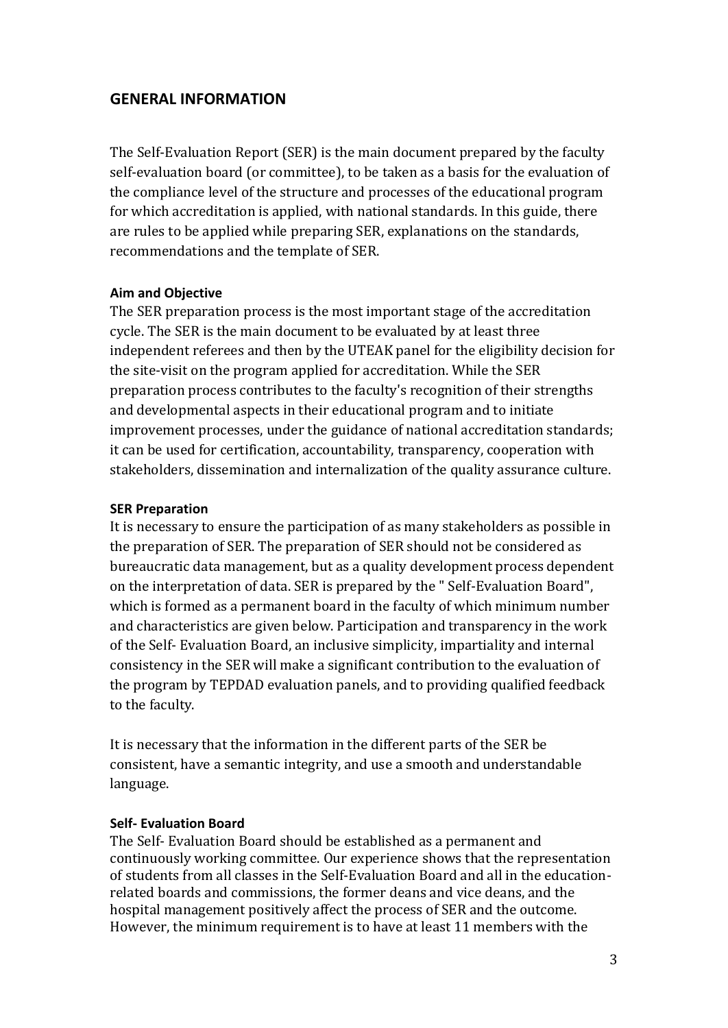#### <span id="page-2-0"></span>**GENERAL INFORMATION**

The Self-Evaluation Report (SER) is the main document prepared by the faculty self-evaluation board (or committee), to be taken as a basis for the evaluation of the compliance level of the structure and processes of the educational program for which accreditation is applied, with national standards. In this guide, there are rules to be applied while preparing SER, explanations on the standards, recommendations and the template of SER.

#### <span id="page-2-1"></span>**Aim and Objective**

The SER preparation process is the most important stage of the accreditation cycle. The SER is the main document to be evaluated by at least three independent referees and then by the UTEAK panel for the eligibility decision for the site-visit on the program applied for accreditation. While the SER preparation process contributes to the faculty's recognition of their strengths and developmental aspects in their educational program and to initiate improvement processes, under the guidance of national accreditation standards; it can be used for certification, accountability, transparency, cooperation with stakeholders, dissemination and internalization of the quality assurance culture.

#### <span id="page-2-2"></span>**SER Preparation**

It is necessary to ensure the participation of as many stakeholders as possible in the preparation of SER. The preparation of SER should not be considered as bureaucratic data management, but as a quality development process dependent on the interpretation of data. SER is prepared by the " Self-Evaluation Board", which is formed as a permanent board in the faculty of which minimum number and characteristics are given below. Participation and transparency in the work of the Self- Evaluation Board, an inclusive simplicity, impartiality and internal consistency in the SER will make a significant contribution to the evaluation of the program by TEPDAD evaluation panels, and to providing qualified feedback to the faculty.

It is necessary that the information in the different parts of the SER be consistent, have a semantic integrity, and use a smooth and understandable language.

#### <span id="page-2-3"></span>**Self- Evaluation Board**

The Self- Evaluation Board should be established as a permanent and continuously working committee. Our experience shows that the representation of students from all classes in the Self-Evaluation Board and all in the educationrelated boards and commissions, the former deans and vice deans, and the hospital management positively affect the process of SER and the outcome. However, the minimum requirement is to have at least 11 members with the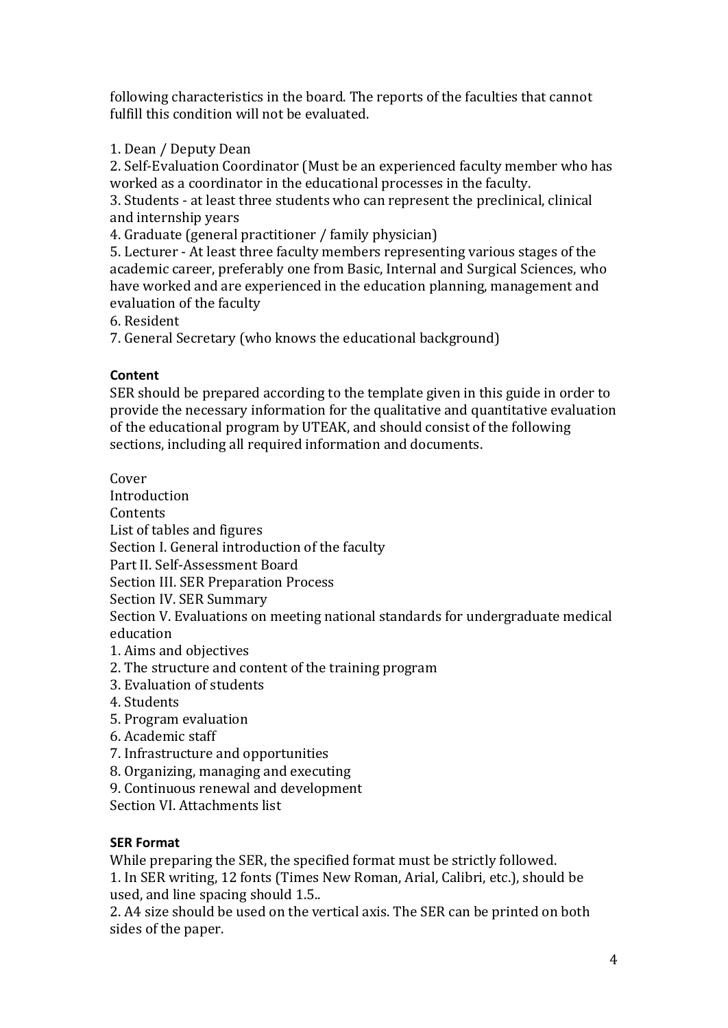following characteristics in the board. The reports of the faculties that cannot fulfill this condition will not be evaluated.

1. Dean / Deputy Dean

2. Self-Evaluation Coordinator (Must be an experienced faculty member who has worked as a coordinator in the educational processes in the faculty.

3. Students - at least three students who can represent the preclinical, clinical and internship years

4. Graduate (general practitioner / family physician)

5. Lecturer - At least three faculty members representing various stages of the academic career, preferably one from Basic, Internal and Surgical Sciences, who have worked and are experienced in the education planning, management and evaluation of the faculty

6. Resident

7. General Secretary (who knows the educational background)

## <span id="page-3-0"></span>**Content**

SER should be prepared according to the template given in this guide in order to provide the necessary information for the qualitative and quantitative evaluation of the educational program by UTEAK, and should consist of the following sections, including all required information and documents.

Cover Introduction **Contents** List of tables and figures Section I. General introduction of the faculty Part II. Self-Assessment Board Section III. SER Preparation Process Section IV. SER Summary Section V. Evaluations on meeting national standards for undergraduate medical education 1. Aims and objectives

- 2. The structure and content of the training program
- 3. Evaluation of students
- 4. Students
- 5. Program evaluation
- 6. Academic staff
- 7. Infrastructure and opportunities
- 8. Organizing, managing and executing
- 9. Continuous renewal and development

Section VI. Attachments list

## <span id="page-3-1"></span>**SER Format**

While preparing the SER, the specified format must be strictly followed.

1. In SER writing, 12 fonts (Times New Roman, Arial, Calibri, etc.), should be used, and line spacing should 1.5..

2. A4 size should be used on the vertical axis. The SER can be printed on both sides of the paper.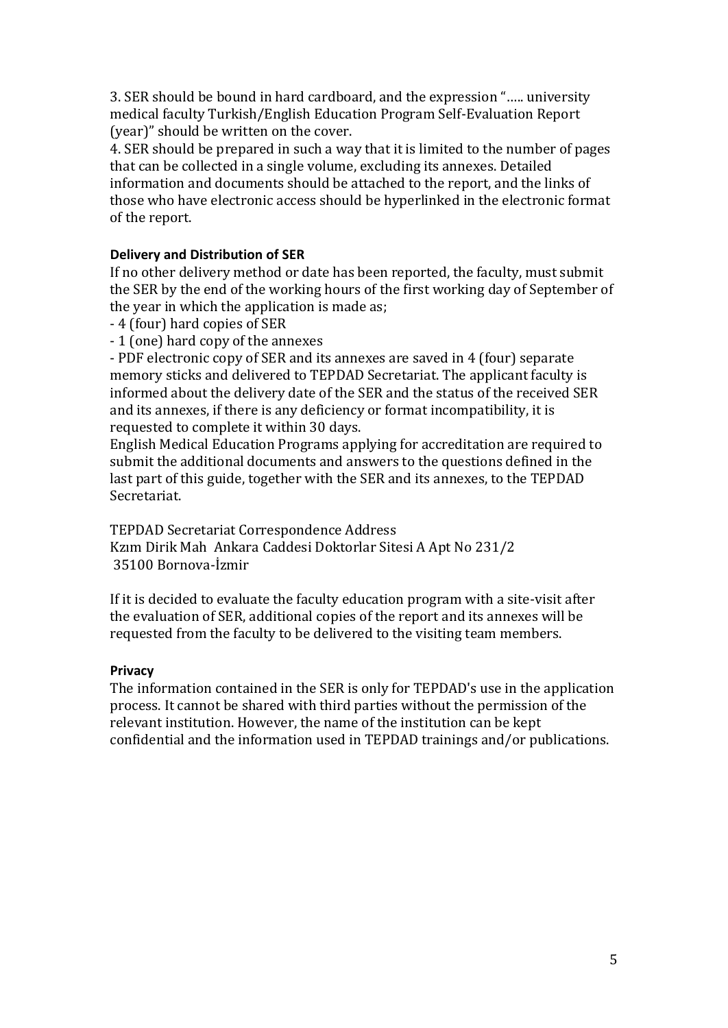3. SER should be bound in hard cardboard, and the expression "….. university medical faculty Turkish/English Education Program Self-Evaluation Report (year)" should be written on the cover.

4. SER should be prepared in such a way that it is limited to the number of pages that can be collected in a single volume, excluding its annexes. Detailed information and documents should be attached to the report, and the links of those who have electronic access should be hyperlinked in the electronic format of the report.

#### <span id="page-4-0"></span>**Delivery and Distribution of SER**

If no other delivery method or date has been reported, the faculty, must submit the SER by the end of the working hours of the first working day of September of the year in which the application is made as;

- 4 (four) hard copies of SER
- 1 (one) hard copy of the annexes

- PDF electronic copy of SER and its annexes are saved in 4 (four) separate memory sticks and delivered to TEPDAD Secretariat. The applicant faculty is informed about the delivery date of the SER and the status of the received SER and its annexes, if there is any deficiency or format incompatibility, it is requested to complete it within 30 days.

English Medical Education Programs applying for accreditation are required to submit the additional documents and answers to the questions defined in the last part of this guide, together with the SER and its annexes, to the TEPDAD Secretariat.

TEPDAD Secretariat Correspondence Address Kzım Dirik Mah Ankara Caddesi Doktorlar Sitesi A Apt No 231/2 35100 Bornova-İzmir

If it is decided to evaluate the faculty education program with a site-visit after the evaluation of SER, additional copies of the report and its annexes will be requested from the faculty to be delivered to the visiting team members.

#### <span id="page-4-1"></span>**Privacy**

The information contained in the SER is only for TEPDAD's use in the application process. It cannot be shared with third parties without the permission of the relevant institution. However, the name of the institution can be kept confidential and the information used in TEPDAD trainings and/or publications.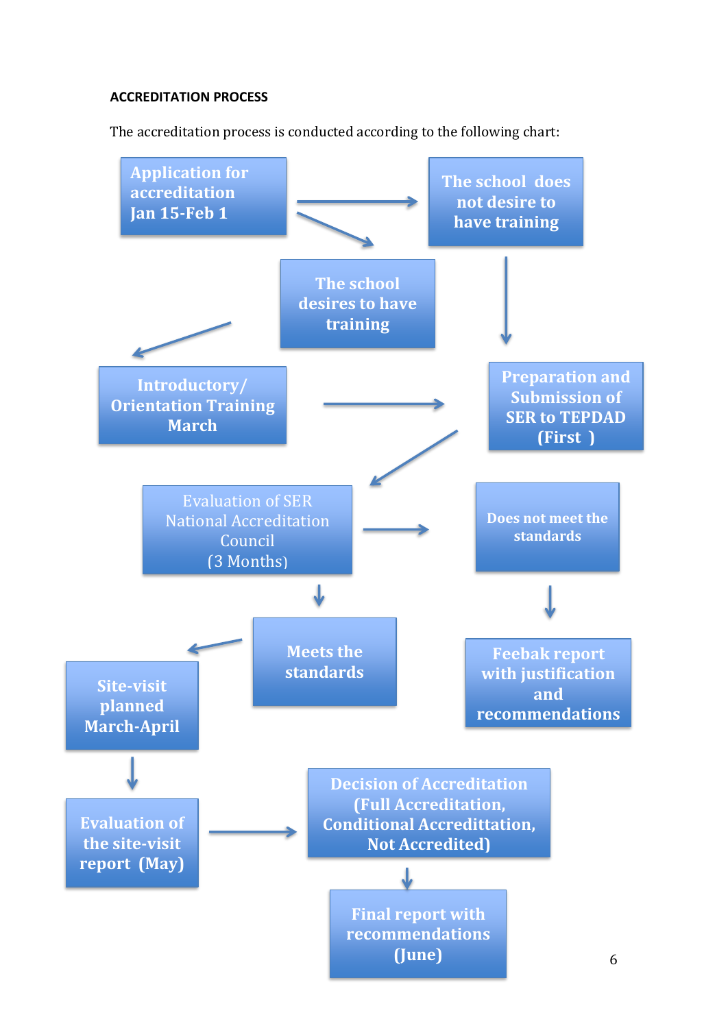#### <span id="page-5-0"></span>**ACCREDITATION PROCESS**

The accreditation process is conducted according to the following chart:

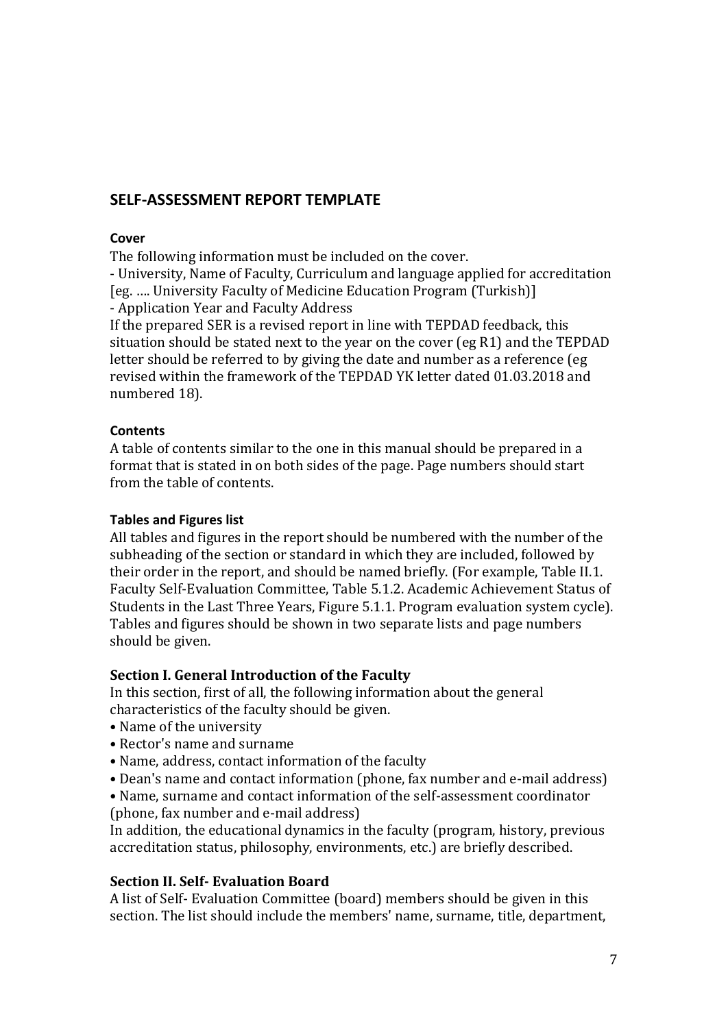## <span id="page-6-0"></span>**SELF-ASSESSMENT REPORT TEMPLATE**

#### <span id="page-6-1"></span>**Cover**

The following information must be included on the cover.

- University, Name of Faculty, Curriculum and language applied for accreditation [eg. …. University Faculty of Medicine Education Program (Turkish)] - Application Year and Faculty Address

If the prepared SER is a revised report in line with TEPDAD feedback, this situation should be stated next to the year on the cover (eg R1) and the TEPDAD letter should be referred to by giving the date and number as a reference (eg revised within the framework of the TEPDAD YK letter dated 01.03.2018 and numbered 18).

#### <span id="page-6-2"></span>**Contents**

A table of contents similar to the one in this manual should be prepared in a format that is stated in on both sides of the page. Page numbers should start from the table of contents.

#### <span id="page-6-3"></span>**Tables and Figures list**

All tables and figures in the report should be numbered with the number of the subheading of the section or standard in which they are included, followed by their order in the report, and should be named briefly. (For example, Table II.1. Faculty Self-Evaluation Committee, Table 5.1.2. Academic Achievement Status of Students in the Last Three Years, Figure 5.1.1. Program evaluation system cycle). Tables and figures should be shown in two separate lists and page numbers should be given.

#### **Section I. General Introduction of the Faculty**

In this section, first of all, the following information about the general characteristics of the faculty should be given.

- Name of the university
- Rector's name and surname
- Name, address, contact information of the faculty
- Dean's name and contact information (phone, fax number and e-mail address)
- Name, surname and contact information of the self-assessment coordinator (phone, fax number and e-mail address)

In addition, the educational dynamics in the faculty (program, history, previous accreditation status, philosophy, environments, etc.) are briefly described.

#### **Section II. Self- Evaluation Board**

A list of Self- Evaluation Committee (board) members should be given in this section. The list should include the members' name, surname, title, department,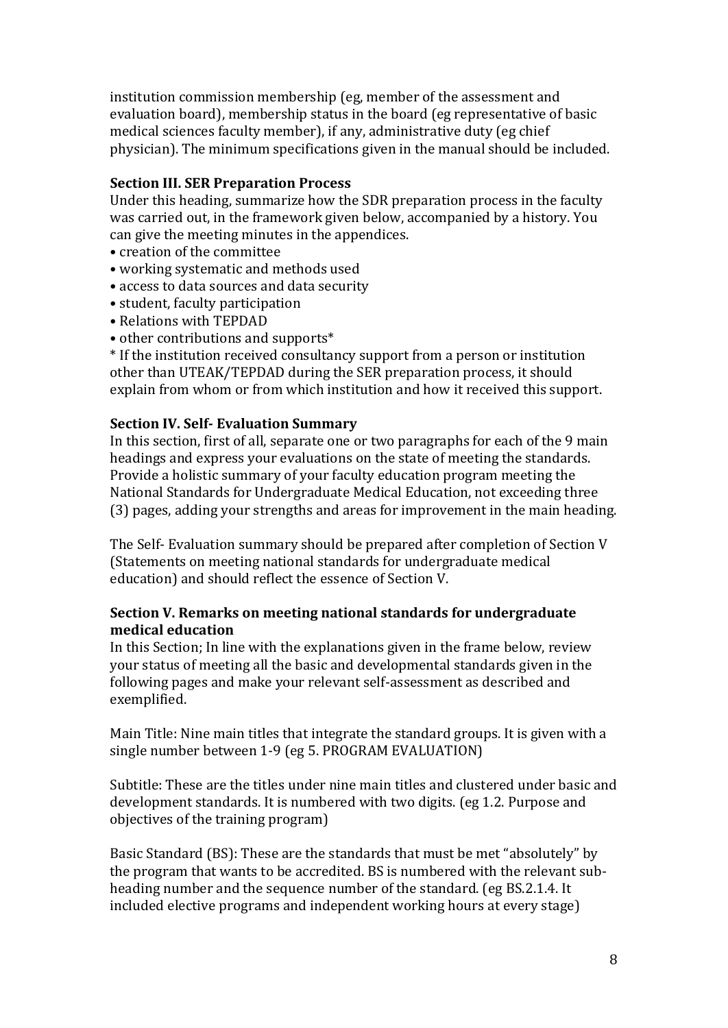institution commission membership (eg, member of the assessment and evaluation board), membership status in the board (eg representative of basic medical sciences faculty member), if any, administrative duty (eg chief physician). The minimum specifications given in the manual should be included.

#### **Section III. SER Preparation Process**

Under this heading, summarize how the SDR preparation process in the faculty was carried out, in the framework given below, accompanied by a history. You can give the meeting minutes in the appendices.

- creation of the committee
- working systematic and methods used
- access to data sources and data security
- student, faculty participation
- Relations with TEPDAD
- other contributions and supports\*

\* If the institution received consultancy support from a person or institution other than UTEAK/TEPDAD during the SER preparation process, it should explain from whom or from which institution and how it received this support.

#### **Section IV. Self- Evaluation Summary**

In this section, first of all, separate one or two paragraphs for each of the 9 main headings and express your evaluations on the state of meeting the standards. Provide a holistic summary of your faculty education program meeting the National Standards for Undergraduate Medical Education, not exceeding three (3) pages, adding your strengths and areas for improvement in the main heading.

The Self- Evaluation summary should be prepared after completion of Section V (Statements on meeting national standards for undergraduate medical education) and should reflect the essence of Section V.

#### **Section V. Remarks on meeting national standards for undergraduate medical education**

In this Section; In line with the explanations given in the frame below, review your status of meeting all the basic and developmental standards given in the following pages and make your relevant self-assessment as described and exemplified.

Main Title: Nine main titles that integrate the standard groups. It is given with a single number between 1-9 (eg 5. PROGRAM EVALUATION)

Subtitle: These are the titles under nine main titles and clustered under basic and development standards. It is numbered with two digits. (eg 1.2. Purpose and objectives of the training program)

Basic Standard (BS): These are the standards that must be met "absolutely" by the program that wants to be accredited. BS is numbered with the relevant subheading number and the sequence number of the standard. (eg BS.2.1.4. It included elective programs and independent working hours at every stage)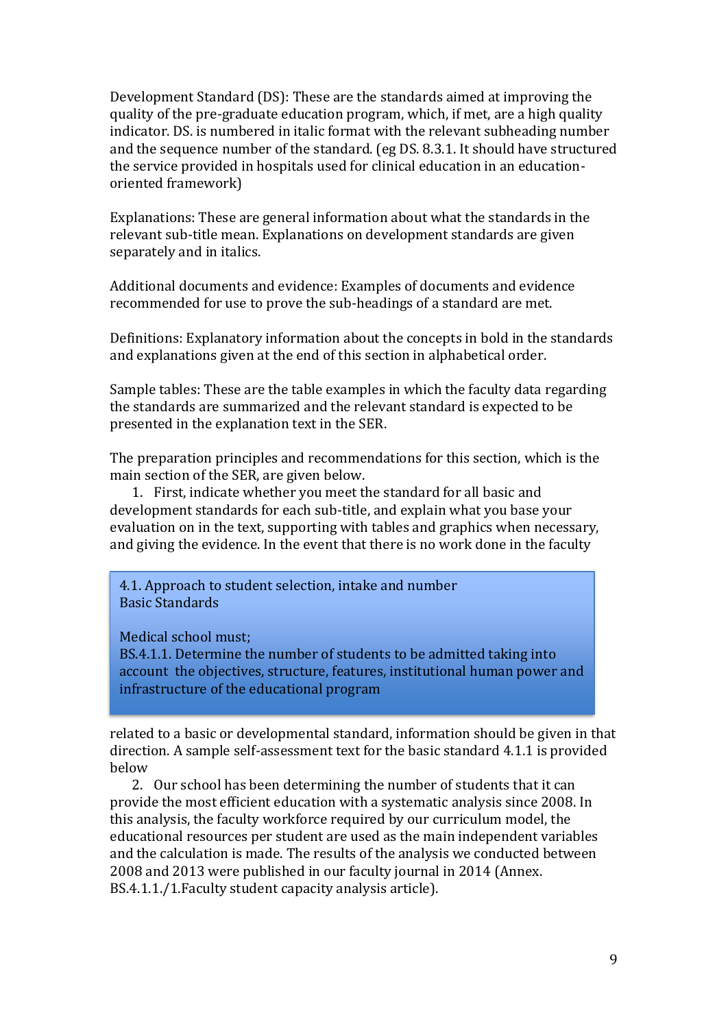Development Standard (DS): These are the standards aimed at improving the quality of the pre-graduate education program, which, if met, are a high quality indicator. DS. is numbered in italic format with the relevant subheading number and the sequence number of the standard. (eg DS. 8.3.1. It should have structured the service provided in hospitals used for clinical education in an educationoriented framework)

Explanations: These are general information about what the standards in the relevant sub-title mean. Explanations on development standards are given separately and in italics.

Additional documents and evidence: Examples of documents and evidence recommended for use to prove the sub-headings of a standard are met.

Definitions: Explanatory information about the concepts in bold in the standards and explanations given at the end of this section in alphabetical order.

Sample tables: These are the table examples in which the faculty data regarding the standards are summarized and the relevant standard is expected to be presented in the explanation text in the SER.

The preparation principles and recommendations for this section, which is the main section of the SER, are given below.

1. First, indicate whether you meet the standard for all basic and development standards for each sub-title, and explain what you base your evaluation on in the text, supporting with tables and graphics when necessary, and giving the evidence. In the event that there is no work done in the faculty

4.1. Approach to student selection, intake and number Basic Standards

Medical school must;

BS.4.1.1. Determine the number of students to be admitted taking into account the objectives, structure, features, institutional human power and infrastructure of the educational program

related to a basic or developmental standard, information should be given in that direction. A sample self-assessment text for the basic standard 4.1.1 is provided below

2. Our school has been determining the number of students that it can provide the most efficient education with a systematic analysis since 2008. In this analysis, the faculty workforce required by our curriculum model, the educational resources per student are used as the main independent variables and the calculation is made. The results of the analysis we conducted between 2008 and 2013 were published in our faculty journal in 2014 (Annex. BS.4.1.1./1.Faculty student capacity analysis article).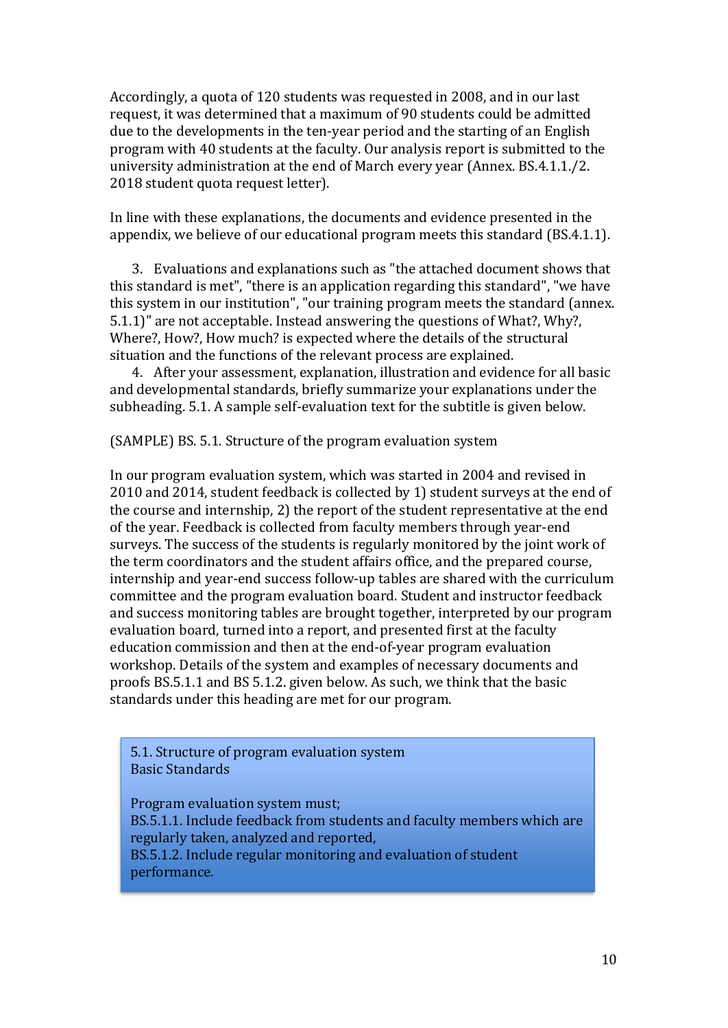Accordingly, a quota of 120 students was requested in 2008, and in our last request, it was determined that a maximum of 90 students could be admitted due to the developments in the ten-year period and the starting of an English program with 40 students at the faculty. Our analysis report is submitted to the university administration at the end of March every year (Annex. BS.4.1.1./2. 2018 student quota request letter).

In line with these explanations, the documents and evidence presented in the appendix, we believe of our educational program meets this standard (BS.4.1.1).

3. Evaluations and explanations such as "the attached document shows that this standard is met", "there is an application regarding this standard", "we have this system in our institution", "our training program meets the standard (annex. 5.1.1)" are not acceptable. Instead answering the questions of What?, Why?, Where?, How?, How much? is expected where the details of the structural situation and the functions of the relevant process are explained.

4. After your assessment, explanation, illustration and evidence for all basic and developmental standards, briefly summarize your explanations under the subheading. 5.1. A sample self-evaluation text for the subtitle is given below.

(SAMPLE) BS. 5.1. Structure of the program evaluation system

In our program evaluation system, which was started in 2004 and revised in 2010 and 2014, student feedback is collected by 1) student surveys at the end of the course and internship, 2) the report of the student representative at the end of the year. Feedback is collected from faculty members through year-end surveys. The success of the students is regularly monitored by the joint work of the term coordinators and the student affairs office, and the prepared course, internship and year-end success follow-up tables are shared with the curriculum committee and the program evaluation board. Student and instructor feedback and success monitoring tables are brought together, interpreted by our program evaluation board, turned into a report, and presented first at the faculty education commission and then at the end-of-year program evaluation workshop. Details of the system and examples of necessary documents and proofs BS.5.1.1 and BS 5.1.2. given below. As such, we think that the basic standards under this heading are met for our program.

5.1. Structure of program evaluation system Basic Standards

Program evaluation system must; BS.5.1.1. Include feedback from students and faculty members which are regularly taken, analyzed and reported, BS.5.1.2. Include regular monitoring and evaluation of student performance.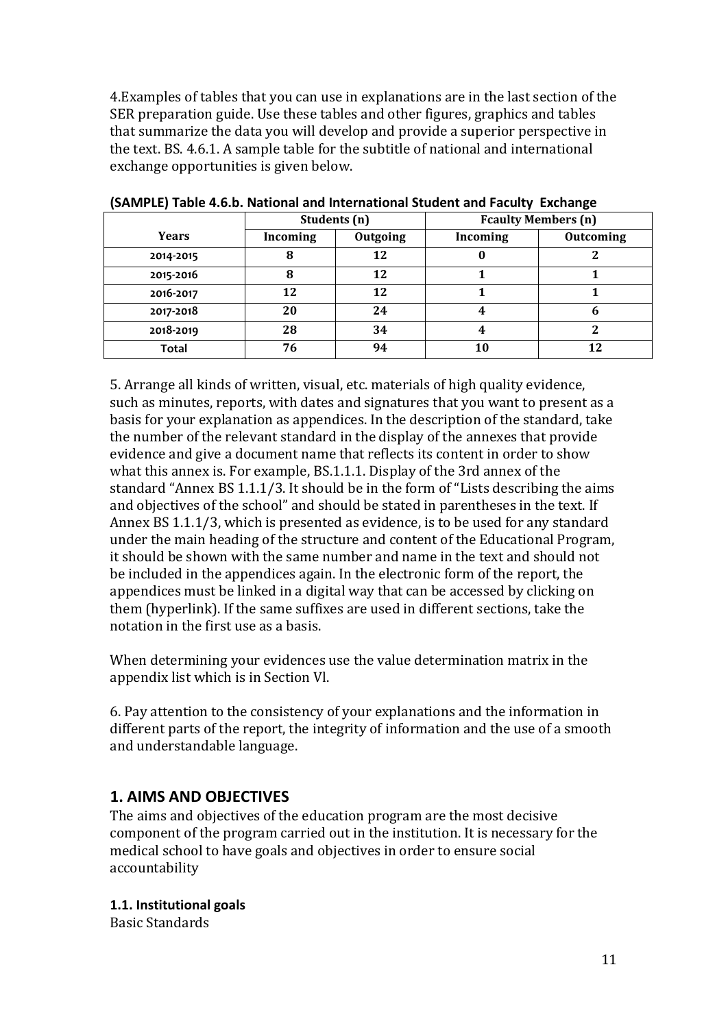4.Examples of tables that you can use in explanations are in the last section of the SER preparation guide. Use these tables and other figures, graphics and tables that summarize the data you will develop and provide a superior perspective in the text. BS. 4.6.1. A sample table for the subtitle of national and international exchange opportunities is given below.

|           | Students (n) |          | <b>Fcaulty Members (n)</b> |                  |
|-----------|--------------|----------|----------------------------|------------------|
| Years     | Incoming     | Outgoing | Incoming                   | <b>Outcoming</b> |
| 2014-2015 |              | 12       |                            |                  |
| 2015-2016 | 8            | 12       |                            |                  |
| 2016-2017 | 12           | 12       |                            |                  |
| 2017-2018 | 20           | 24       |                            | n                |
| 2018-2019 | 28           | 34       | 4                          |                  |
| Total     | 76           | 94       |                            |                  |

<span id="page-10-0"></span>**(SAMPLE) Table 4.6.b. National and International Student and Faculty Exchange** 

5. Arrange all kinds of written, visual, etc. materials of high quality evidence, such as minutes, reports, with dates and signatures that you want to present as a basis for your explanation as appendices. In the description of the standard, take the number of the relevant standard in the display of the annexes that provide evidence and give a document name that reflects its content in order to show what this annex is. For example, BS.1.1.1. Display of the 3rd annex of the standard "Annex BS 1.1.1/3. It should be in the form of "Lists describing the aims and objectives of the school" and should be stated in parentheses in the text. If Annex BS 1.1.1/3, which is presented as evidence, is to be used for any standard under the main heading of the structure and content of the Educational Program, it should be shown with the same number and name in the text and should not be included in the appendices again. In the electronic form of the report, the appendices must be linked in a digital way that can be accessed by clicking on them (hyperlink). If the same suffixes are used in different sections, take the notation in the first use as a basis.

When determining your evidences use the value determination matrix in the appendix list which is in Section Vl.

6. Pay attention to the consistency of your explanations and the information in different parts of the report, the integrity of information and the use of a smooth and understandable language.

# <span id="page-10-1"></span>**1. AIMS AND OBJECTIVES**

The aims and objectives of the education program are the most decisive component of the program carried out in the institution. It is necessary for the medical school to have goals and objectives in order to ensure social accountability

<span id="page-10-2"></span>**1.1. Institutional goals**

Basic Standards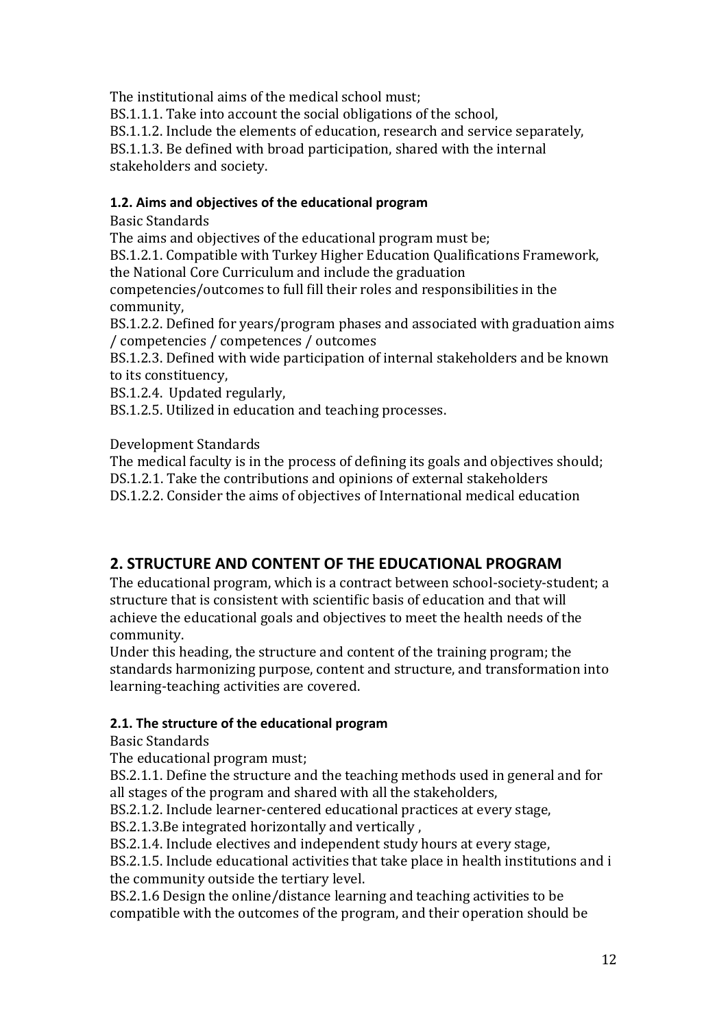The institutional aims of the medical school must;

BS.1.1.1. Take into account the social obligations of the school,

BS.1.1.2. Include the elements of education, research and service separately,

BS.1.1.3. Be defined with broad participation, shared with the internal stakeholders and society.

#### <span id="page-11-0"></span>**1.2. Aims and objectives of the educational program**

Basic Standards

The aims and objectives of the educational program must be;

BS.1.2.1. Compatible with Turkey Higher Education Qualifications Framework, the National Core Curriculum and include the graduation

competencies/outcomes to full fill their roles and responsibilities in the community,

BS.1.2.2. Defined for years/program phases and associated with graduation aims / competencies / competences / outcomes

BS.1.2.3. Defined with wide participation of internal stakeholders and be known to its constituency,

BS.1.2.4. Updated regularly,

BS.1.2.5. Utilized in education and teaching processes.

Development Standards

The medical faculty is in the process of defining its goals and objectives should; DS.1.2.1. Take the contributions and opinions of external stakeholders

DS.1.2.2. Consider the aims of objectives of International medical education

# <span id="page-11-1"></span>**2. STRUCTURE AND CONTENT OF THE EDUCATIONAL PROGRAM**

The educational program, which is a contract between school-society-student; a structure that is consistent with scientific basis of education and that will achieve the educational goals and objectives to meet the health needs of the community.

Under this heading, the structure and content of the training program; the standards harmonizing purpose, content and structure, and transformation into learning-teaching activities are covered.

## <span id="page-11-2"></span>**2.1. The structure of the educational program**

Basic Standards

The educational program must;

BS.2.1.1. Define the structure and the teaching methods used in general and for all stages of the program and shared with all the stakeholders,

BS.2.1.2. Include learner-centered educational practices at every stage,

BS.2.1.3.Be integrated horizontally and vertically ,

BS.2.1.4. Include electives and independent study hours at every stage,

BS.2.1.5. Include educational activities that take place in health institutions and i the community outside the tertiary level.

BS.2.1.6 Design the online/distance learning and teaching activities to be compatible with the outcomes of the program, and their operation should be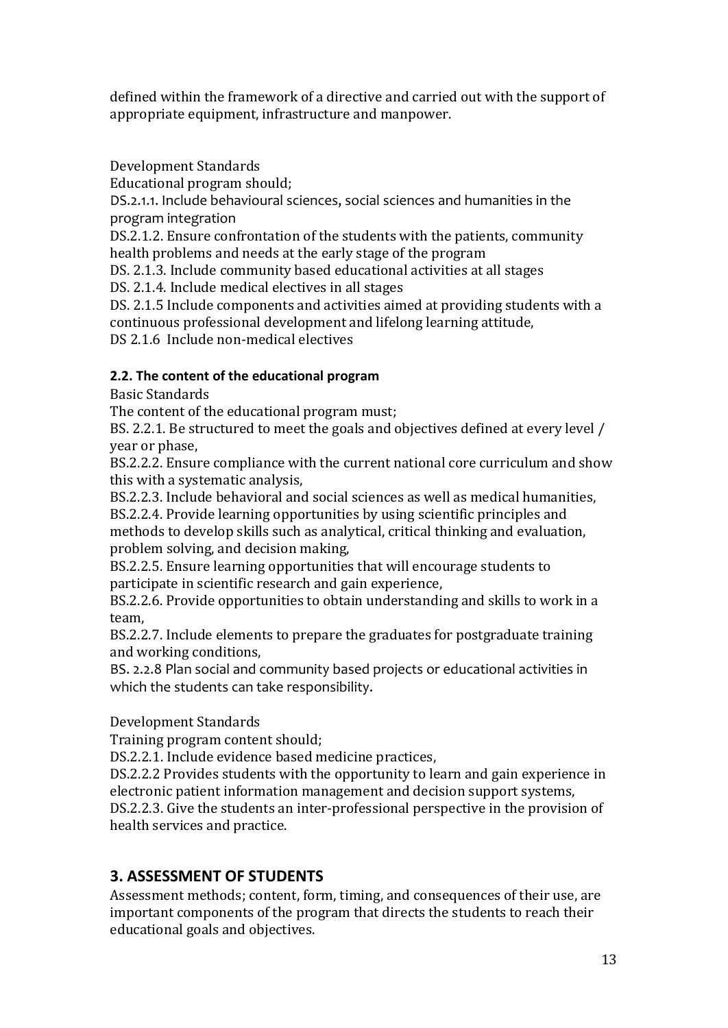defined within the framework of a directive and carried out with the support of appropriate equipment, infrastructure and manpower.

Development Standards

Educational program should;

DS.2.1.1. Include behavioural sciences, social sciences and humanities in the program integration

DS.2.1.2. Ensure confrontation of the students with the patients, community health problems and needs at the early stage of the program

DS. 2.1.3. Include community based educational activities at all stages

DS. 2.1.4. Include medical electives in all stages

DS. 2.1.5 Include components and activities aimed at providing students with a continuous professional development and lifelong learning attitude, DS 2.1.6 Include non-medical electives

# <span id="page-12-0"></span>**2.2. The content of the educational program**

Basic Standards

The content of the educational program must;

BS. 2.2.1. Be structured to meet the goals and objectives defined at every level / year or phase,

BS.2.2.2. Ensure compliance with the current national core curriculum and show this with a systematic analysis,

BS.2.2.3. Include behavioral and social sciences as well as medical humanities,

BS.2.2.4. Provide learning opportunities by using scientific principles and methods to develop skills such as analytical, critical thinking and evaluation, problem solving, and decision making,

BS.2.2.5. Ensure learning opportunities that will encourage students to participate in scientific research and gain experience,

BS.2.2.6. Provide opportunities to obtain understanding and skills to work in a team,

BS.2.2.7. Include elements to prepare the graduates for postgraduate training and working conditions,

BS. 2.2.8 Plan social and community based projects or educational activities in which the students can take responsibility.

## Development Standards

Training program content should;

DS.2.2.1. Include evidence based medicine practices,

DS.2.2.2 Provides students with the opportunity to learn and gain experience in electronic patient information management and decision support systems, DS.2.2.3. Give the students an inter-professional perspective in the provision of

health services and practice.

# <span id="page-12-1"></span>**3. ASSESSMENT OF STUDENTS**

Assessment methods; content, form, timing, and consequences of their use, are important components of the program that directs the students to reach their educational goals and objectives.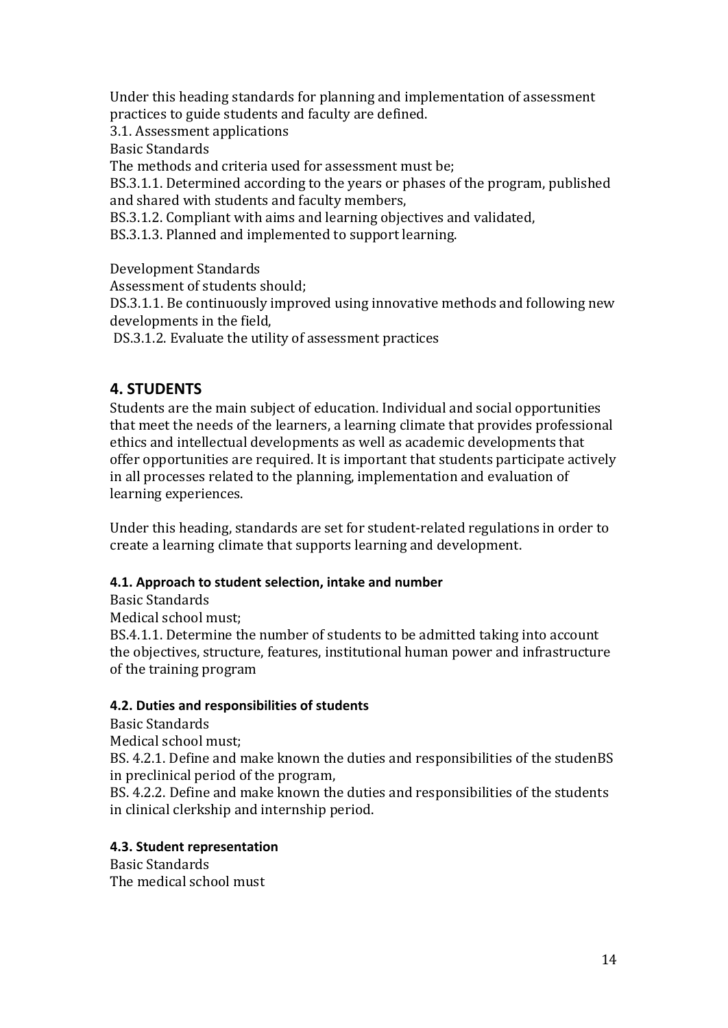Under this heading standards for planning and implementation of assessment practices to guide students and faculty are defined.

3.1. Assessment applications

Basic Standards

The methods and criteria used for assessment must be;

BS.3.1.1. Determined according to the years or phases of the program, published and shared with students and faculty members,

BS.3.1.2. Compliant with aims and learning objectives and validated,

BS.3.1.3. Planned and implemented to support learning.

Development Standards

Assessment of students should;

DS.3.1.1. Be continuously improved using innovative methods and following new developments in the field,

DS.3.1.2. Evaluate the utility of assessment practices

# <span id="page-13-0"></span>**4. STUDENTS**

Students are the main subject of education. Individual and social opportunities that meet the needs of the learners, a learning climate that provides professional ethics and intellectual developments as well as academic developments that offer opportunities are required. It is important that students participate actively in all processes related to the planning, implementation and evaluation of learning experiences.

Under this heading, standards are set for student-related regulations in order to create a learning climate that supports learning and development.

## <span id="page-13-1"></span>**4.1. Approach to student selection, intake and number**

Basic Standards Medical school must; BS.4.1.1. Determine the number of students to be admitted taking into account the objectives, structure, features, institutional human power and infrastructure of the training program

## <span id="page-13-2"></span>**4.2. Duties and responsibilities of students**

Basic Standards

Medical school must;

BS. 4.2.1. Define and make known the duties and responsibilities of the studenBS in preclinical period of the program,

BS. 4.2.2. Define and make known the duties and responsibilities of the students in clinical clerkship and internship period.

## <span id="page-13-3"></span>**4.3. Student representation**

Basic Standards The medical school must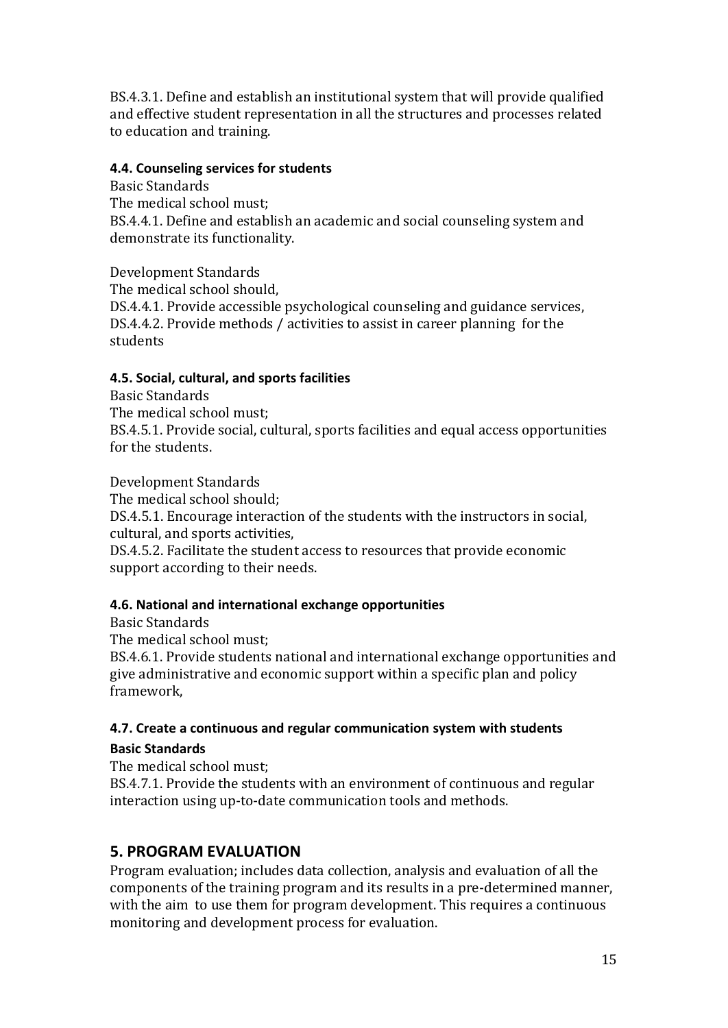BS.4.3.1. Define and establish an institutional system that will provide qualified and effective student representation in all the structures and processes related to education and training.

#### <span id="page-14-0"></span>**4.4. Counseling services for students**

Basic Standards The medical school must; BS.4.4.1. Define and establish an academic and social counseling system and demonstrate its functionality.

Development Standards

The medical school should, DS.4.4.1. Provide accessible psychological counseling and guidance services, DS.4.4.2. Provide methods / activities to assist in career planning for the students

## <span id="page-14-1"></span>**4.5. Social, cultural, and sports facilities**

Basic Standards The medical school must; BS.4.5.1. Provide social, cultural, sports facilities and equal access opportunities for the students.

Development Standards The medical school should; DS.4.5.1. Encourage interaction of the students with the instructors in social, cultural, and sports activities, DS.4.5.2. Facilitate the student access to resources that provide economic support according to their needs.

## <span id="page-14-2"></span>**4.6. National and international exchange opportunities**

Basic Standards

The medical school must;

BS.4.6.1. Provide students national and international exchange opportunities and give administrative and economic support within a specific plan and policy framework,

#### <span id="page-14-4"></span><span id="page-14-3"></span>**4.7. Create a continuous and regular communication system with students Basic Standards**

The medical school must;

BS.4.7.1. Provide the students with an environment of continuous and regular interaction using up-to-date communication tools and methods.

# <span id="page-14-5"></span>**5. PROGRAM EVALUATION**

Program evaluation; includes data collection, analysis and evaluation of all the components of the training program and its results in a pre-determined manner, with the aim to use them for program development. This requires a continuous monitoring and development process for evaluation.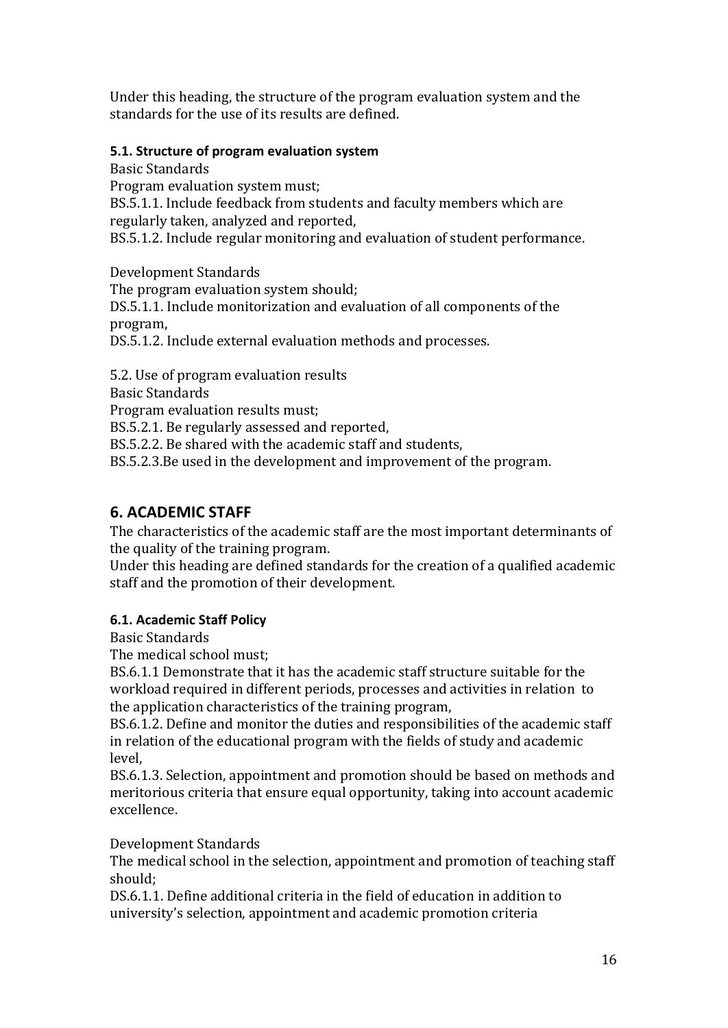Under this heading, the structure of the program evaluation system and the standards for the use of its results are defined.

#### <span id="page-15-0"></span>**5.1. Structure of program evaluation system**

Basic Standards Program evaluation system must; BS.5.1.1. Include feedback from students and faculty members which are regularly taken, analyzed and reported, BS.5.1.2. Include regular monitoring and evaluation of student performance.

Development Standards The program evaluation system should; DS.5.1.1. Include monitorization and evaluation of all components of the program, DS.5.1.2. Include external evaluation methods and processes.

5.2. Use of program evaluation results Basic Standards Program evaluation results must; BS.5.2.1. Be regularly assessed and reported, BS.5.2.2. Be shared with the academic staff and students, BS.5.2.3.Be used in the development and improvement of the program.

# <span id="page-15-1"></span>**6. ACADEMIC STAFF**

The characteristics of the academic staff are the most important determinants of the quality of the training program.

Under this heading are defined standards for the creation of a qualified academic staff and the promotion of their development.

## <span id="page-15-2"></span>**6.1. Academic Staff Policy**

Basic Standards

The medical school must;

BS.6.1.1 Demonstrate that it has the academic staff structure suitable for the workload required in different periods, processes and activities in relation to the application characteristics of the training program,

BS.6.1.2. Define and monitor the duties and responsibilities of the academic staff in relation of the educational program with the fields of study and academic level,

BS.6.1.3. Selection, appointment and promotion should be based on methods and meritorious criteria that ensure equal opportunity, taking into account academic excellence.

Development Standards

The medical school in the selection, appointment and promotion of teaching staff should;

DS.6.1.1. Define additional criteria in the field of education in addition to university's selection, appointment and academic promotion criteria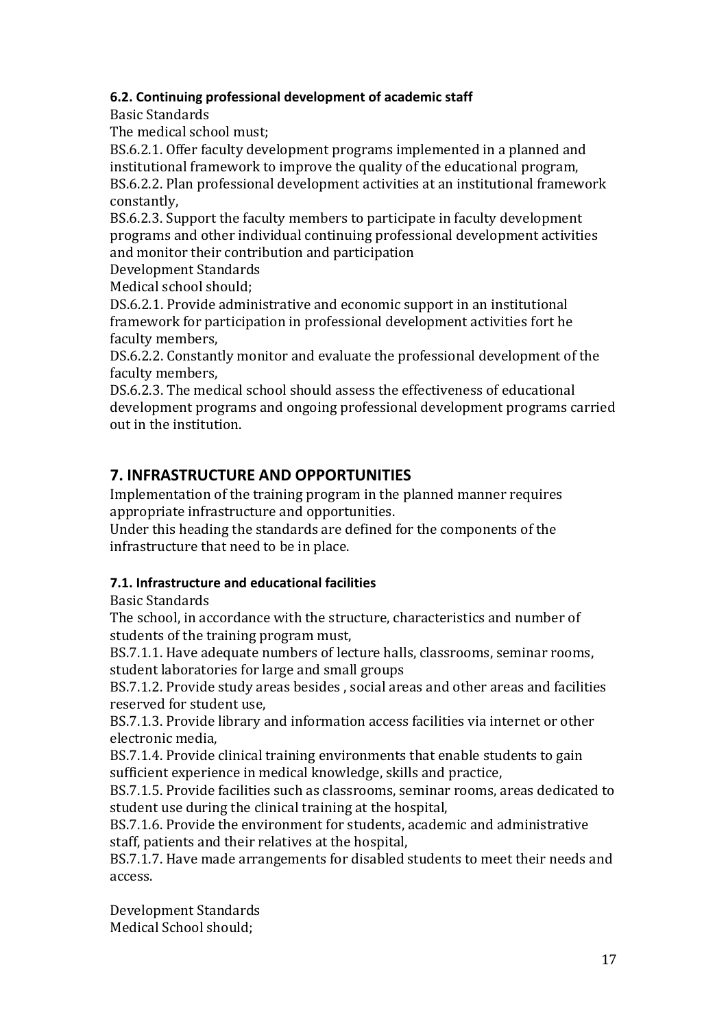#### <span id="page-16-0"></span>**6.2. Continuing professional development of academic staff**

Basic Standards

The medical school must;

BS.6.2.1. Offer faculty development programs implemented in a planned and institutional framework to improve the quality of the educational program, BS.6.2.2. Plan professional development activities at an institutional framework constantly,

BS.6.2.3. Support the faculty members to participate in faculty development programs and other individual continuing professional development activities and monitor their contribution and participation

Development Standards

Medical school should;

DS.6.2.1. Provide administrative and economic support in an institutional framework for participation in professional development activities fort he faculty members,

DS.6.2.2. Constantly monitor and evaluate the professional development of the faculty members,

DS.6.2.3. The medical school should assess the effectiveness of educational development programs and ongoing professional development programs carried out in the institution.

# <span id="page-16-1"></span>**7. INFRASTRUCTURE AND OPPORTUNITIES**

Implementation of the training program in the planned manner requires appropriate infrastructure and opportunities.

Under this heading the standards are defined for the components of the infrastructure that need to be in place.

## <span id="page-16-2"></span>**7.1. Infrastructure and educational facilities**

Basic Standards

The school, in accordance with the structure, characteristics and number of students of the training program must,

BS.7.1.1. Have adequate numbers of lecture halls, classrooms, seminar rooms, student laboratories for large and small groups

BS.7.1.2. Provide study areas besides , social areas and other areas and facilities reserved for student use,

BS.7.1.3. Provide library and information access facilities via internet or other electronic media,

BS.7.1.4. Provide clinical training environments that enable students to gain sufficient experience in medical knowledge, skills and practice,

BS.7.1.5. Provide facilities such as classrooms, seminar rooms, areas dedicated to student use during the clinical training at the hospital,

BS.7.1.6. Provide the environment for students, academic and administrative staff, patients and their relatives at the hospital,

BS.7.1.7. Have made arrangements for disabled students to meet their needs and access.

Development Standards Medical School should;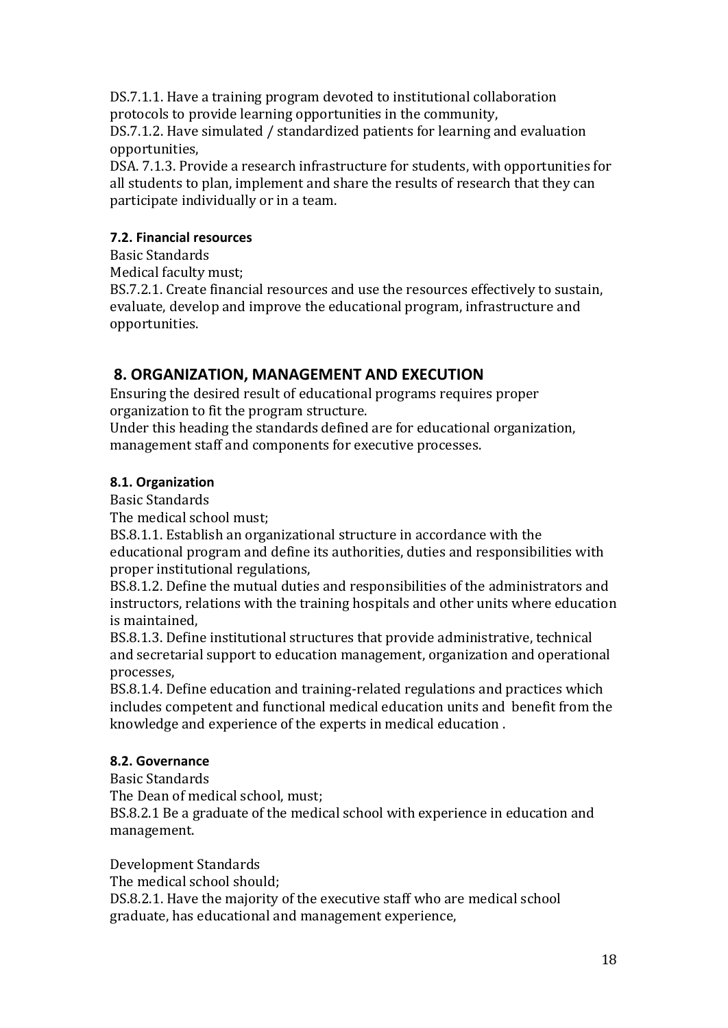DS.7.1.1. Have a training program devoted to institutional collaboration protocols to provide learning opportunities in the community,

DS.7.1.2. Have simulated / standardized patients for learning and evaluation opportunities,

DSA. 7.1.3. Provide a research infrastructure for students, with opportunities for all students to plan, implement and share the results of research that they can participate individually or in a team.

## <span id="page-17-0"></span>**7.2. Financial resources**

Basic Standards

Medical faculty must;

BS.7.2.1. Create financial resources and use the resources effectively to sustain, evaluate, develop and improve the educational program, infrastructure and opportunities.

# <span id="page-17-1"></span>**8. ORGANIZATION, MANAGEMENT AND EXECUTION**

Ensuring the desired result of educational programs requires proper organization to fit the program structure.

Under this heading the standards defined are for educational organization, management staff and components for executive processes.

## <span id="page-17-2"></span>**8.1. Organization**

Basic Standards

The medical school must;

BS.8.1.1. Establish an organizational structure in accordance with the educational program and define its authorities, duties and responsibilities with proper institutional regulations,

BS.8.1.2. Define the mutual duties and responsibilities of the administrators and instructors, relations with the training hospitals and other units where education is maintained,

BS.8.1.3. Define institutional structures that provide administrative, technical and secretarial support to education management, organization and operational processes,

BS.8.1.4. Define education and training-related regulations and practices which includes competent and functional medical education units and benefit from the knowledge and experience of the experts in medical education .

## <span id="page-17-3"></span>**8.2. Governance**

Basic Standards The Dean of medical school, must; BS.8.2.1 Be a graduate of the medical school with experience in education and management.

Development Standards The medical school should;

DS.8.2.1. Have the majority of the executive staff who are medical school graduate, has educational and management experience,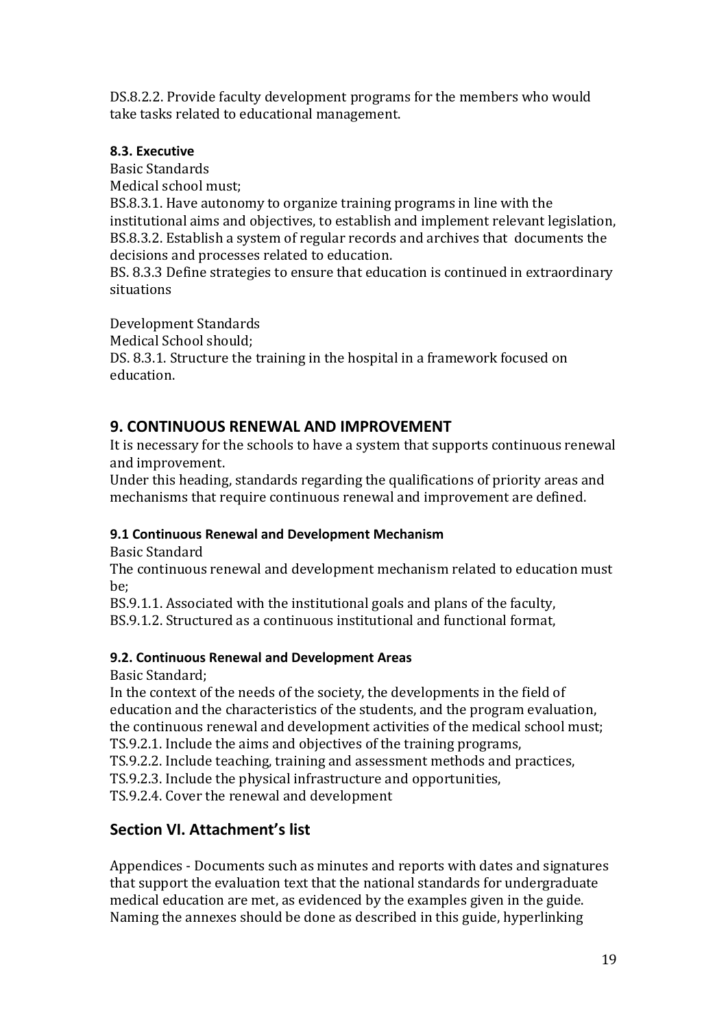DS.8.2.2. Provide faculty development programs for the members who would take tasks related to educational management.

## <span id="page-18-0"></span>**8.3. Executive**

situations

Basic Standards Medical school must; BS.8.3.1. Have autonomy to organize training programs in line with the institutional aims and objectives, to establish and implement relevant legislation, BS.8.3.2. Establish a system of regular records and archives that documents the decisions and processes related to education. BS. 8.3.3 Define strategies to ensure that education is continued in extraordinary

Development Standards Medical School should;

DS. 8.3.1. Structure the training in the hospital in a framework focused on education.

## <span id="page-18-1"></span>**9. CONTINUOUS RENEWAL AND IMPROVEMENT**

It is necessary for the schools to have a system that supports continuous renewal and improvement.

Under this heading, standards regarding the qualifications of priority areas and mechanisms that require continuous renewal and improvement are defined.

## <span id="page-18-2"></span>**9.1 Continuous Renewal and Development Mechanism**

Basic Standard

The continuous renewal and development mechanism related to education must be;

BS.9.1.1. Associated with the institutional goals and plans of the faculty,

BS.9.1.2. Structured as a continuous institutional and functional format,

## <span id="page-18-3"></span>**9.2. Continuous Renewal and Development Areas**

Basic Standard;

In the context of the needs of the society, the developments in the field of education and the characteristics of the students, and the program evaluation, the continuous renewal and development activities of the medical school must; TS.9.2.1. Include the aims and objectives of the training programs,

TS.9.2.2. Include teaching, training and assessment methods and practices,

TS.9.2.3. Include the physical infrastructure and opportunities,

TS.9.2.4. Cover the renewal and development

# <span id="page-18-4"></span>**Section VI. Attachment's list**

Appendices - Documents such as minutes and reports with dates and signatures that support the evaluation text that the national standards for undergraduate medical education are met, as evidenced by the examples given in the guide. Naming the annexes should be done as described in this guide, hyperlinking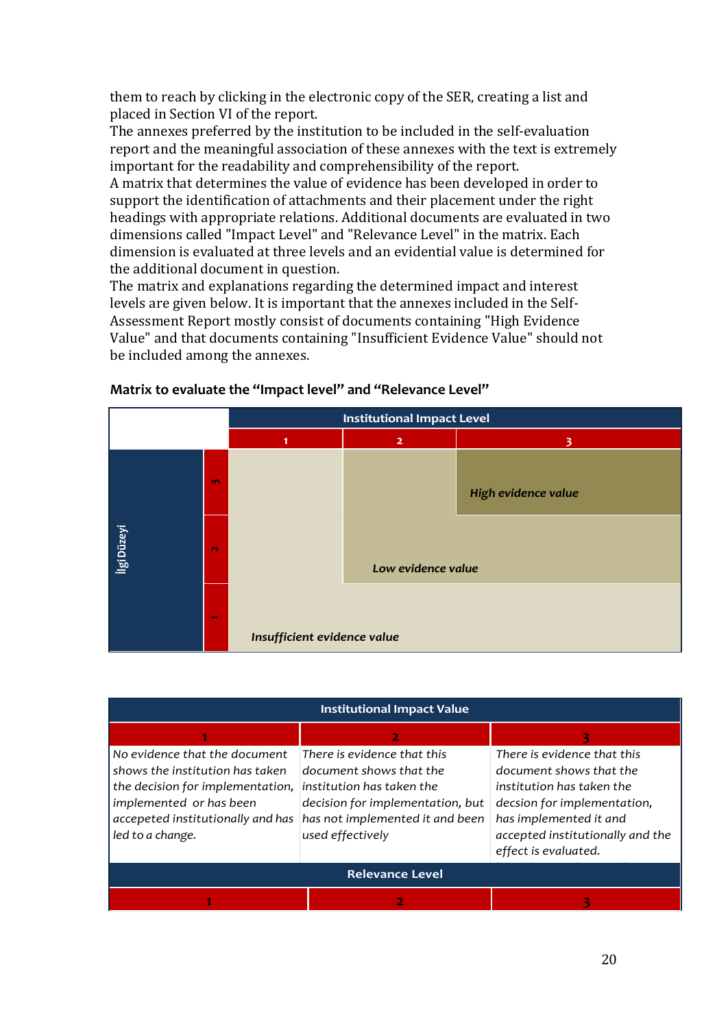them to reach by clicking in the electronic copy of the SER, creating a list and placed in Section VI of the report.

The annexes preferred by the institution to be included in the self-evaluation report and the meaningful association of these annexes with the text is extremely important for the readability and comprehensibility of the report.

A matrix that determines the value of evidence has been developed in order to support the identification of attachments and their placement under the right headings with appropriate relations. Additional documents are evaluated in two dimensions called "Impact Level" and "Relevance Level" in the matrix. Each dimension is evaluated at three levels and an evidential value is determined for the additional document in question.

The matrix and explanations regarding the determined impact and interest levels are given below. It is important that the annexes included in the Self-Assessment Report mostly consist of documents containing "High Evidence Value" and that documents containing "Insufficient Evidence Value" should not be included among the annexes.



#### **Matrix to evaluate the "Impact level" and "Relevance Level"**

| <b>Institutional Impact Value</b> |                                  |                                  |  |  |  |  |
|-----------------------------------|----------------------------------|----------------------------------|--|--|--|--|
|                                   | 2                                |                                  |  |  |  |  |
| No evidence that the document     | There is evidence that this      | There is evidence that this      |  |  |  |  |
| shows the institution has taken   | document shows that the          | document shows that the          |  |  |  |  |
| the decision for implementation,  | institution has taken the        | institution has taken the        |  |  |  |  |
| implemented or has been           | decision for implementation, but | decsion for implementation,      |  |  |  |  |
| accepeted institutionally and has | has not implemented it and been  | has implemented it and           |  |  |  |  |
| led to a change.                  | used effectively                 | accepted institutionally and the |  |  |  |  |
|                                   |                                  | effect is evaluated.             |  |  |  |  |
| <b>Relevance Level</b>            |                                  |                                  |  |  |  |  |
|                                   |                                  |                                  |  |  |  |  |

*kullanıldığını göstermektedir.*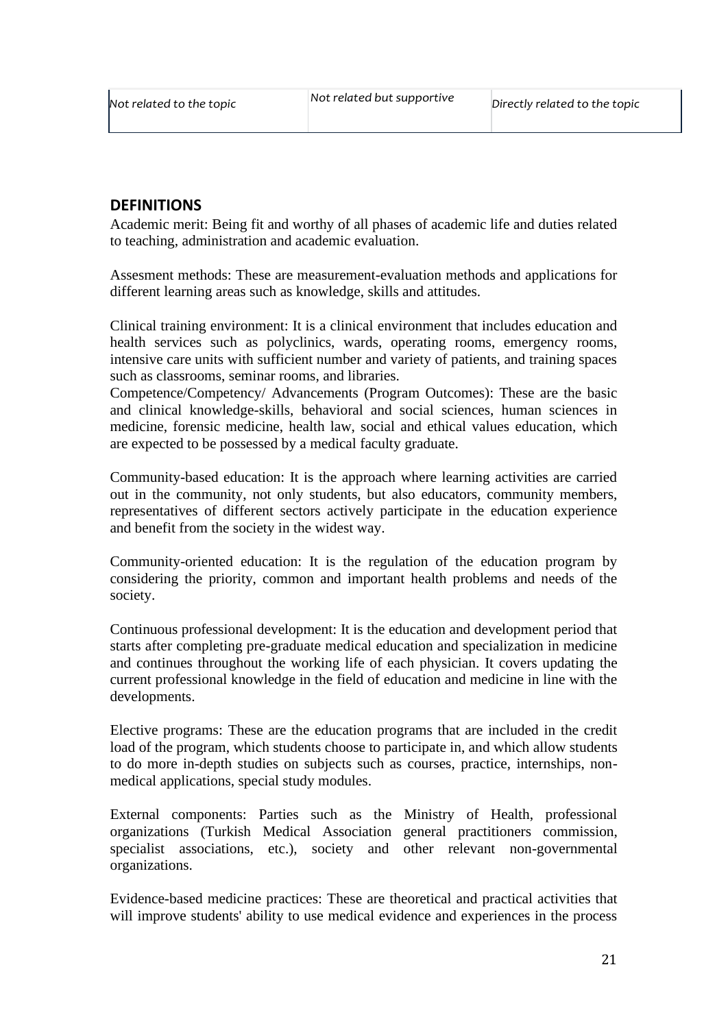#### <span id="page-20-0"></span>**DEFINITIONS**

Academic merit: Being fit and worthy of all phases of academic life and duties related to teaching, administration and academic evaluation.

Assesment methods: These are measurement-evaluation methods and applications for different learning areas such as knowledge, skills and attitudes.

Clinical training environment: It is a clinical environment that includes education and health services such as polyclinics, wards, operating rooms, emergency rooms, intensive care units with sufficient number and variety of patients, and training spaces such as classrooms, seminar rooms, and libraries.

Competence/Competency/ Advancements (Program Outcomes): These are the basic and clinical knowledge-skills, behavioral and social sciences, human sciences in medicine, forensic medicine, health law, social and ethical values education, which are expected to be possessed by a medical faculty graduate.

Community-based education: It is the approach where learning activities are carried out in the community, not only students, but also educators, community members, representatives of different sectors actively participate in the education experience and benefit from the society in the widest way.

Community-oriented education: It is the regulation of the education program by considering the priority, common and important health problems and needs of the society.

Continuous professional development: It is the education and development period that starts after completing pre-graduate medical education and specialization in medicine and continues throughout the working life of each physician. It covers updating the current professional knowledge in the field of education and medicine in line with the developments.

Elective programs: These are the education programs that are included in the credit load of the program, which students choose to participate in, and which allow students to do more in-depth studies on subjects such as courses, practice, internships, nonmedical applications, special study modules.

External components: Parties such as the Ministry of Health, professional organizations (Turkish Medical Association general practitioners commission, specialist associations, etc.), society and other relevant non-governmental organizations.

Evidence-based medicine practices: These are theoretical and practical activities that will improve students' ability to use medical evidence and experiences in the process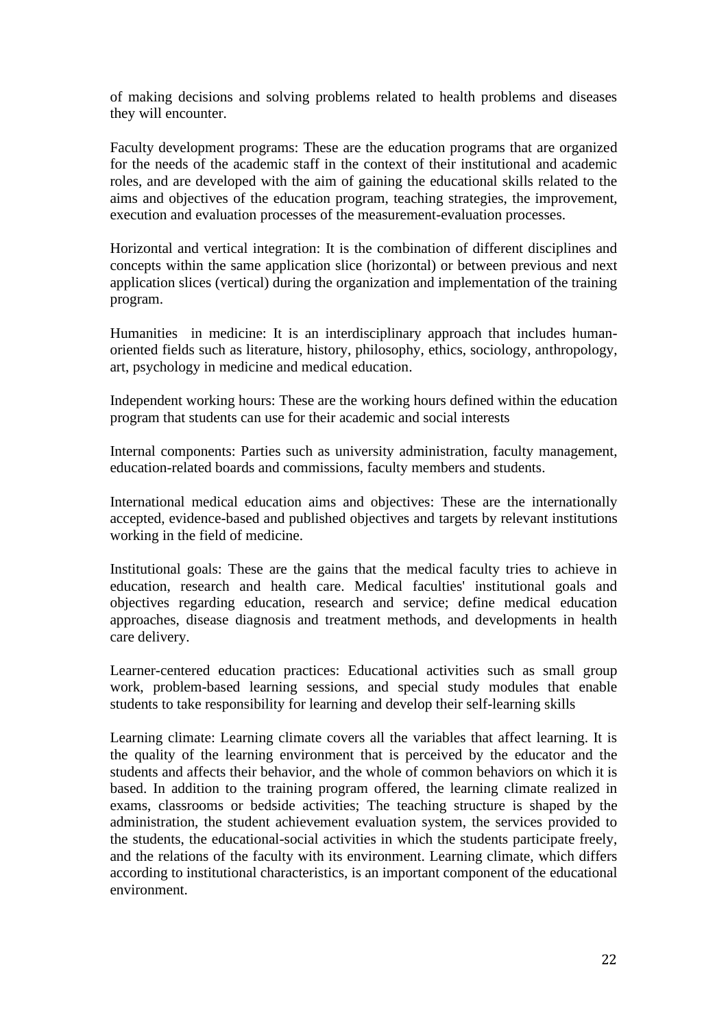of making decisions and solving problems related to health problems and diseases they will encounter.

Faculty development programs: These are the education programs that are organized for the needs of the academic staff in the context of their institutional and academic roles, and are developed with the aim of gaining the educational skills related to the aims and objectives of the education program, teaching strategies, the improvement, execution and evaluation processes of the measurement-evaluation processes.

Horizontal and vertical integration: It is the combination of different disciplines and concepts within the same application slice (horizontal) or between previous and next application slices (vertical) during the organization and implementation of the training program.

Humanities in medicine: It is an interdisciplinary approach that includes humanoriented fields such as literature, history, philosophy, ethics, sociology, anthropology, art, psychology in medicine and medical education.

Independent working hours: These are the working hours defined within the education program that students can use for their academic and social interests

Internal components: Parties such as university administration, faculty management, education-related boards and commissions, faculty members and students.

International medical education aims and objectives: These are the internationally accepted, evidence-based and published objectives and targets by relevant institutions working in the field of medicine.

Institutional goals: These are the gains that the medical faculty tries to achieve in education, research and health care. Medical faculties' institutional goals and objectives regarding education, research and service; define medical education approaches, disease diagnosis and treatment methods, and developments in health care delivery.

Learner-centered education practices: Educational activities such as small group work, problem-based learning sessions, and special study modules that enable students to take responsibility for learning and develop their self-learning skills

Learning climate: Learning climate covers all the variables that affect learning. It is the quality of the learning environment that is perceived by the educator and the students and affects their behavior, and the whole of common behaviors on which it is based. In addition to the training program offered, the learning climate realized in exams, classrooms or bedside activities; The teaching structure is shaped by the administration, the student achievement evaluation system, the services provided to the students, the educational-social activities in which the students participate freely, and the relations of the faculty with its environment. Learning climate, which differs according to institutional characteristics, is an important component of the educational environment.